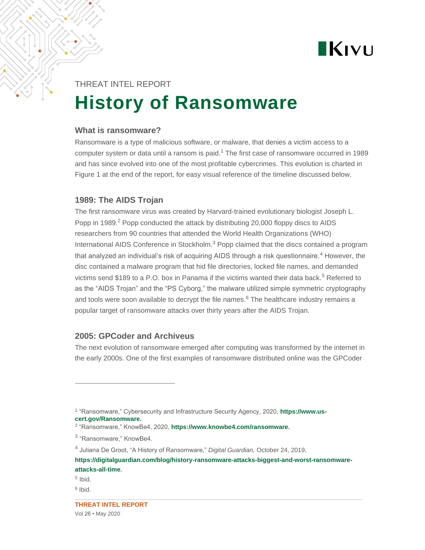

# THREAT INTEL REPORT **History of Ransomware**

#### **What is ransomware?**

Ransomware is a type of malicious software, or malware, that denies a victim access to a computer system or data until a ransom is paid.<sup>1</sup> The first case of ransomware occurred in 1989 and has since evolved into one of the most profitable cybercrimes. This evolution is charted in Figure 1 at the end of the report, for easy visual reference of the timeline discussed below.

#### **1989: The AIDS Trojan**

The first ransomware virus was created by Harvard-trained evolutionary biologist Joseph L. Popp in 1989. $<sup>2</sup>$  Popp conducted the attack by distributing 20,000 floppy discs to AIDS</sup> researchers from 90 countries that attended the World Health Organizations (WHO) International AIDS Conference in Stockholm.<sup>3</sup> Popp claimed that the discs contained a program that analyzed an individual's risk of acquiring AIDS through a risk questionnaire.<sup>4</sup> However, the disc contained a malware program that hid file directories, locked file names, and demanded victims send \$189 to a P.O. box in Panama if the victims wanted their data back.<sup>5</sup> Referred to as the "AIDS Trojan" and the "PS Cyborg," the malware utilized simple symmetric cryptography and tools were soon available to decrypt the file names. $6$  The healthcare industry remains a popular target of ransomware attacks over thirty years after the AIDS Trojan.

#### **2005: GPCoder and Archiveus**

The next evolution of ransomware emerged after computing was transformed by the internet in the early 2000s. One of the first examples of ransomware distributed online was the GPCoder

<sup>&</sup>lt;sup>1</sup> "Ransomware," Cybersecurity and Infrastructure Security Agency, 2020, **[https://www.us](https://www.us-cert.gov/Ransomware)[cert.gov/Ransomware.](https://www.us-cert.gov/Ransomware)**

<sup>2</sup> "Ransomware," KnowBe4, 2020, **<https://www.knowbe4.com/ransomware>**.

<sup>&</sup>lt;sup>3</sup> "Ransomware," KnowBe4.

<sup>4</sup> Juliana De Groot, "A History of Ransomware," *Digital Guardian,* October 24, 2019,

**[https://digitalguardian.com/blog/history-ransomware-attacks-biggest-and-worst-ransomware](https://digitalguardian.com/blog/history-ransomware-attacks-biggest-and-worst-ransomware-attacks-all-time)[attacks-all-time](https://digitalguardian.com/blog/history-ransomware-attacks-biggest-and-worst-ransomware-attacks-all-time)**.

<sup>5</sup> Ibid.

<sup>&</sup>lt;sup>6</sup> Ibid.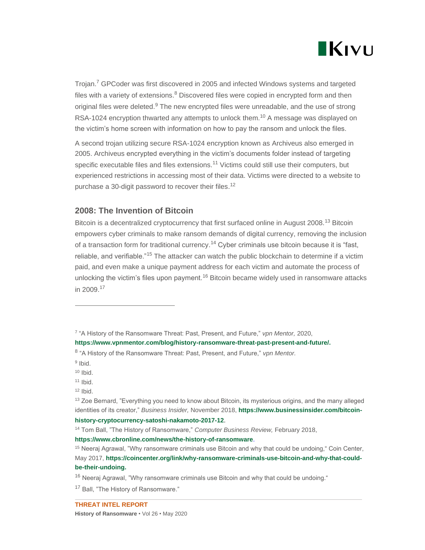

Trojan.<sup>7</sup> GPCoder was first discovered in 2005 and infected Windows systems and targeted files with a variety of extensions. $8$  Discovered files were copied in encrypted form and then original files were deleted. $9$  The new encrypted files were unreadable, and the use of strong RSA-1024 encryption thwarted any attempts to unlock them.<sup>10</sup> A message was displayed on the victim's home screen with information on how to pay the ransom and unlock the files.

A second trojan utilizing secure RSA-1024 encryption known as Archiveus also emerged in 2005. Archiveus encrypted everything in the victim's documents folder instead of targeting specific executable files and files extensions.<sup>11</sup> Victims could still use their computers, but experienced restrictions in accessing most of their data. Victims were directed to a website to purchase a 30-digit password to recover their files.<sup>12</sup>

#### **2008: The Invention of Bitcoin**

Bitcoin is a decentralized cryptocurrency that first surfaced online in August 2008.<sup>13</sup> Bitcoin empowers cyber criminals to make ransom demands of digital currency, removing the inclusion of a transaction form for traditional currency.<sup>14</sup> Cyber criminals use bitcoin because it is "fast, reliable, and verifiable."<sup>15</sup> The attacker can watch the public blockchain to determine if a victim paid, and even make a unique payment address for each victim and automate the process of unlocking the victim's files upon payment.<sup>16</sup> Bitcoin became widely used in ransomware attacks in 2009.<sup>17</sup>

- $10$  Ibid.
- $11$  Ibid.
- $12$  Ibid.

#### **<https://www.cbronline.com/news/the-history-of-ransomware>**.

<sup>17</sup> Ball, "The History of Ransomware."

<sup>7</sup> "A History of the Ransomware Threat: Past, Present, and Future," *vpn Mentor,* 2020,

**[https://www.vpnmentor.com/blog/history-ransomware-threat-past-present-and-future/.](https://www.vpnmentor.com/blog/history-ransomware-threat-past-present-and-future/)**

<sup>8</sup> "A History of the Ransomware Threat: Past, Present, and Future," *vpn Mentor.*

<sup>&</sup>lt;sup>9</sup> Ibid.

<sup>&</sup>lt;sup>13</sup> Zoe Bernard, "Everything you need to know about Bitcoin, its mysterious origins, and the many alleged identities of its creator," *Business Insider,* November 2018, **[https://www.businessinsider.com/bitcoin](https://www.businessinsider.com/bitcoin-history-cryptocurrency-satoshi-nakamoto-2017-12)[history-cryptocurrency-satoshi-nakamoto-2017-12](https://www.businessinsider.com/bitcoin-history-cryptocurrency-satoshi-nakamoto-2017-12)**.

<sup>14</sup> Tom Ball, "The History of Ransomware," *Computer Business Review,* February 2018,

<sup>&</sup>lt;sup>15</sup> Neeraj Agrawal, "Why ransomware criminals use Bitcoin and why that could be undoing," Coin Center, May 2017, **[https://coincenter.org/link/why-ransomware-criminals-use-bitcoin-and-why-that-could](https://coincenter.org/link/why-ransomware-criminals-use-bitcoin-and-why-that-could-be-their-undoing)[be-their-undoing.](https://coincenter.org/link/why-ransomware-criminals-use-bitcoin-and-why-that-could-be-their-undoing)**

 $16$  Neeraj Agrawal, "Why ransomware criminals use Bitcoin and why that could be undoing."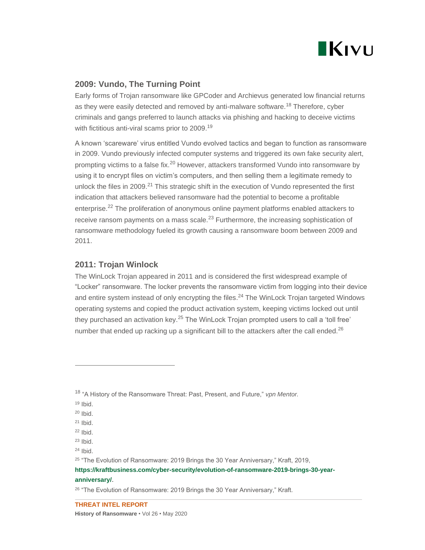

### **2009: Vundo, The Turning Point**

Early forms of Trojan ransomware like GPCoder and Archievus generated low financial returns as they were easily detected and removed by anti-malware software.<sup>18</sup> Therefore, cyber criminals and gangs preferred to launch attacks via phishing and hacking to deceive victims with fictitious anti-viral scams prior to 2009.<sup>19</sup>

A known 'scareware' virus entitled Vundo evolved tactics and began to function as ransomware in 2009. Vundo previously infected computer systems and triggered its own fake security alert, prompting victims to a false fix.<sup>20</sup> However, attackers transformed Vundo into ransomware by using it to encrypt files on victim's computers, and then selling them a legitimate remedy to unlock the files in 2009.<sup>21</sup> This strategic shift in the execution of Vundo represented the first indication that attackers believed ransomware had the potential to become a profitable enterprise.<sup>22</sup> The proliferation of anonymous online payment platforms enabled attackers to receive ransom payments on a mass scale. $^{23}$  Furthermore, the increasing sophistication of ransomware methodology fueled its growth causing a ransomware boom between 2009 and 2011.

#### **2011: Trojan Winlock**

The WinLock Trojan appeared in 2011 and is considered the first widespread example of "Locker" ransomware. The locker prevents the ransomware victim from logging into their device and entire system instead of only encrypting the files.<sup>24</sup> The WinLock Trojan targeted Windows operating systems and copied the product activation system, keeping victims locked out until they purchased an activation key.<sup>25</sup> The WinLock Trojan prompted users to call a 'toll free' number that ended up racking up a significant bill to the attackers after the call ended.<sup>26</sup>

 $24$  Ibid.

**[https://kraftbusiness.com/cyber-security/evolution-of-ransomware-2019-brings-30-year-](https://kraftbusiness.com/cyber-security/evolution-of-ransomware-2019-brings-30-year-anniversary/)**

#### **[anniversary/](https://kraftbusiness.com/cyber-security/evolution-of-ransomware-2019-brings-30-year-anniversary/)**.

<sup>18</sup> "A History of the Ransomware Threat: Past, Present, and Future," *vpn Mentor.*

 $19$  Ibid.

 $20$  Ibid.

 $21$  Ibid.

 $22$  Ibid.

 $23$  Ibid.

<sup>&</sup>lt;sup>25</sup> "The Evolution of Ransomware: 2019 Brings the 30 Year Anniversary," Kraft, 2019,

<sup>&</sup>lt;sup>26</sup> "The Evolution of Ransomware: 2019 Brings the 30 Year Anniversary," Kraft.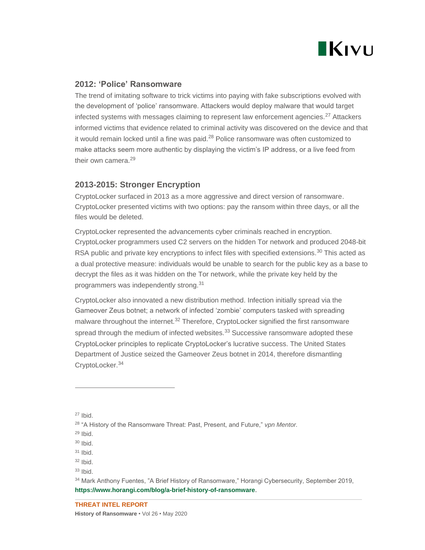

#### **2012: 'Police' Ransomware**

The trend of imitating software to trick victims into paying with fake subscriptions evolved with the development of 'police' ransomware. Attackers would deploy malware that would target infected systems with messages claiming to represent law enforcement agencies.<sup>27</sup> Attackers informed victims that evidence related to criminal activity was discovered on the device and that it would remain locked until a fine was paid.<sup>28</sup> Police ransomware was often customized to make attacks seem more authentic by displaying the victim's IP address, or a live feed from their own camera.<sup>29</sup>

#### **2013-2015: Stronger Encryption**

CryptoLocker surfaced in 2013 as a more aggressive and direct version of ransomware. CryptoLocker presented victims with two options: pay the ransom within three days, or all the files would be deleted.

CryptoLocker represented the advancements cyber criminals reached in encryption. CryptoLocker programmers used C2 servers on the hidden Tor network and produced 2048-bit RSA public and private key encryptions to infect files with specified extensions.<sup>30</sup> This acted as a dual protective measure: individuals would be unable to search for the public key as a base to decrypt the files as it was hidden on the Tor network, while the private key held by the programmers was independently strong.<sup>31</sup>

CryptoLocker also innovated a new distribution method. Infection initially spread via the Gameover Zeus botnet; a network of infected 'zombie' computers tasked with spreading malware throughout the internet.<sup>32</sup> Therefore, CryptoLocker signified the first ransomware spread through the medium of infected websites. $33$  Successive ransomware adopted these CryptoLocker principles to replicate CryptoLocker's lucrative success. The United States Department of Justice seized the Gameover Zeus botnet in 2014, therefore dismantling CryptoLocker.<sup>34</sup>

 $27$  Ibid.

<sup>28</sup> "A History of the Ransomware Threat: Past, Present, and Future," *vpn Mentor.*

 $29$  Ibid.

<sup>30</sup> Ibid.

 $31$  Ibid.

 $32$  Ibid.

 $33$  Ibid.

<sup>&</sup>lt;sup>34</sup> Mark Anthony Fuentes, "A Brief History of Ransomware," Horangi Cybersecurity, September 2019, **<https://www.horangi.com/blog/a-brief-history-of-ransomware>**.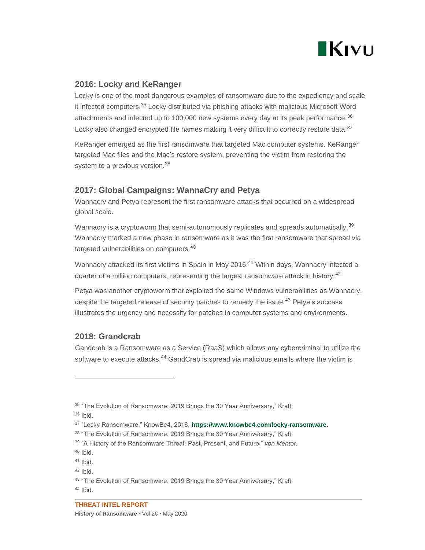

### **2016: Locky and KeRanger**

Locky is one of the most dangerous examples of ransomware due to the expediency and scale it infected computers.<sup>35</sup> Locky distributed via phishing attacks with malicious Microsoft Word attachments and infected up to 100,000 new systems every day at its peak performance.<sup>36</sup> Locky also changed encrypted file names making it very difficult to correctly restore data.<sup>37</sup>

KeRanger emerged as the first ransomware that targeted Mac computer systems. KeRanger targeted Mac files and the Mac's restore system, preventing the victim from restoring the system to a previous version.<sup>38</sup>

#### **2017: Global Campaigns: WannaCry and Petya**

Wannacry and Petya represent the first ransomware attacks that occurred on a widespread global scale.

Wannacry is a cryptoworm that semi-autonomously replicates and spreads automatically.<sup>39</sup> Wannacry marked a new phase in ransomware as it was the first ransomware that spread via targeted vulnerabilities on computers.<sup>40</sup>

Wannacry attacked its first victims in Spain in May 2016.<sup>41</sup> Within days, Wannacry infected a quarter of a million computers, representing the largest ransomware attack in history.<sup>42</sup>

Petya was another cryptoworm that exploited the same Windows vulnerabilities as Wannacry, despite the targeted release of security patches to remedy the issue.<sup>43</sup> Petya's success illustrates the urgency and necessity for patches in computer systems and environments.

## **2018: Grandcrab**

Gandcrab is a Ransomware as a Service (RaaS) which allows any cybercriminal to utilize the software to execute attacks.<sup>44</sup> GandCrab is spread via malicious emails where the victim is

<sup>&</sup>lt;sup>35</sup> "The Evolution of Ransomware: 2019 Brings the 30 Year Anniversary," Kraft.

<sup>36</sup> Ibid.

<sup>37</sup> "Locky Ransomware," KnowBe4, 2016, **<https://www.knowbe4.com/locky-ransomware>**.

<sup>38 &</sup>quot;The Evolution of Ransomware: 2019 Brings the 30 Year Anniversary," Kraft.

<sup>39</sup> "A History of the Ransomware Threat: Past, Present, and Future," *vpn Mentor.*

 $40$  Ibid.

<sup>41</sup> Ibid.

 $42$  Ibid.

<sup>43 &</sup>quot;The Evolution of Ransomware: 2019 Brings the 30 Year Anniversary," Kraft.

 $44$  Ibid.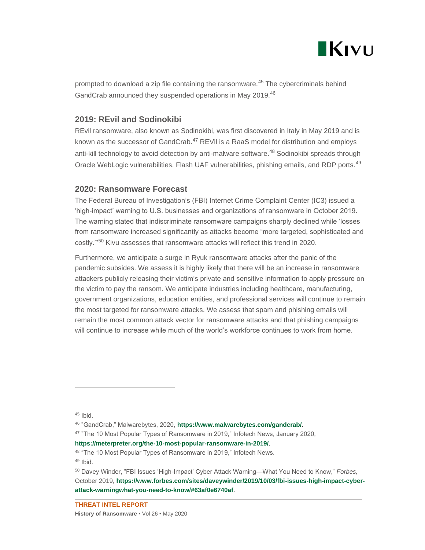

prompted to download a zip file containing the ransomware.<sup>45</sup> The cybercriminals behind GandCrab announced they suspended operations in May 2019.<sup>46</sup>

#### **2019: REvil and Sodinokibi**

REvil ransomware, also known as Sodinokibi, was first discovered in Italy in May 2019 and is known as the successor of GandCrab.<sup>47</sup> REVil is a RaaS model for distribution and employs anti-kill technology to avoid detection by anti-malware software.<sup>48</sup> Sodinokibi spreads through Oracle WebLogic vulnerabilities, Flash UAF vulnerabilities, phishing emails, and RDP ports.<sup>49</sup>

#### **2020: Ransomware Forecast**

The Federal Bureau of Investigation's (FBI) Internet Crime Complaint Center (IC3) issued a 'high-impact' warning to U.S. businesses and organizations of ransomware in October 2019. The warning stated that indiscriminate ransomware campaigns sharply declined while 'losses from ransomware increased significantly as attacks become "more targeted, sophisticated and costly."<sup>50</sup> Kivu assesses that ransomware attacks will reflect this trend in 2020.

Furthermore, we anticipate a surge in Ryuk ransomware attacks after the panic of the pandemic subsides. We assess it is highly likely that there will be an increase in ransomware attackers publicly releasing their victim's private and sensitive information to apply pressure on the victim to pay the ransom. We anticipate industries including healthcare, manufacturing, government organizations, education entities, and professional services will continue to remain the most targeted for ransomware attacks. We assess that spam and phishing emails will remain the most common attack vector for ransomware attacks and that phishing campaigns will continue to increase while much of the world's workforce continues to work from home.

 $45$  Ibid.

<sup>46</sup> "GandCrab," Malwarebytes, 2020, **<https://www.malwarebytes.com/gandcrab/>**.

<sup>47</sup> "The 10 Most Popular Types of Ransomware in 2019," Infotech News, January 2020,

**<https://meterpreter.org/the-10-most-popular-ransomware-in-2019/>**.

<sup>48 &</sup>quot;The 10 Most Popular Types of Ransomware in 2019," Infotech News.

 $49$  Ibid.

<sup>50</sup> Davey Winder, "FBI Issues 'High-Impact' Cyber Attack Warning—What You Need to Know," *Forbes,*  October 2019, **[https://www.forbes.com/sites/daveywinder/2019/10/03/fbi-issues-high-impact-cyber](https://www.forbes.com/sites/daveywinder/2019/10/03/fbi-issues-high-impact-cyber-attack-warningwhat-you-need-to-know/#63af0e6740af)[attack-warningwhat-you-need-to-know/#63af0e6740af](https://www.forbes.com/sites/daveywinder/2019/10/03/fbi-issues-high-impact-cyber-attack-warningwhat-you-need-to-know/#63af0e6740af)**.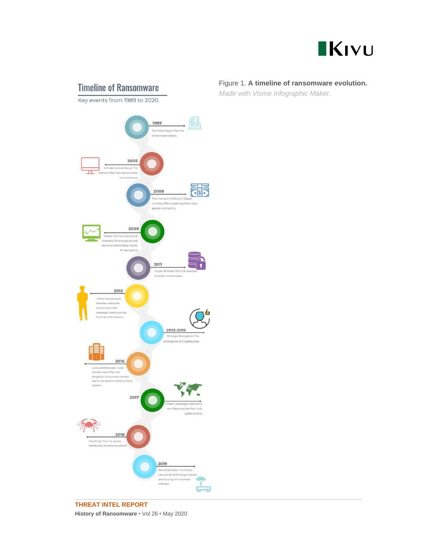

# **Timeline of Ransomware**

Key events from 1989 to 2020.



#### **THREAT INTEL REPORT History of Ransomware** • Vol 26 • May 2020

#### Figure 1. **A timeline of ransomware evolution.**

*Made with Visme Infographic Maker.*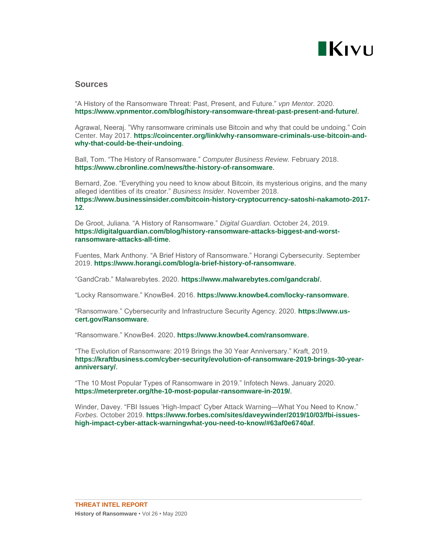

#### **Sources**

"A History of the Ransomware Threat: Past, Present, and Future." *vpn Mentor.* 2020. **<https://www.vpnmentor.com/blog/history-ransomware-threat-past-present-and-future/>**.

Agrawal, Neeraj. "Why ransomware criminals use Bitcoin and why that could be undoing." Coin Center. May 2017. **[https://coincenter.org/link/why-ransomware-criminals-use-bitcoin-and](https://coincenter.org/link/why-ransomware-criminals-use-bitcoin-and-why-that-could-be-their-undoing)[why-that-could-be-their-undoing](https://coincenter.org/link/why-ransomware-criminals-use-bitcoin-and-why-that-could-be-their-undoing)**.

Ball, Tom. "The History of Ransomware." *Computer Business Review.* February 2018. **<https://www.cbronline.com/news/the-history-of-ransomware>**.

Bernard, Zoe. "Everything you need to know about Bitcoin, its mysterious origins, and the many alleged identities of its creator." *Business Insider.* November 2018. **[https://www.businessinsider.com/bitcoin-history-cryptocurrency-satoshi-nakamoto-2017-](https://www.businessinsider.com/bitcoin-history-cryptocurrency-satoshi-nakamoto-2017-12) [12](https://www.businessinsider.com/bitcoin-history-cryptocurrency-satoshi-nakamoto-2017-12)**.

De Groot, Juliana. "A History of Ransomware." *Digital Guardian.* October 24, 2019. **[https://digitalguardian.com/blog/history-ransomware-attacks-biggest-and-worst](https://digitalguardian.com/blog/history-ransomware-attacks-biggest-and-worst-ransomware-attacks-all-time)[ransomware-attacks-all-time](https://digitalguardian.com/blog/history-ransomware-attacks-biggest-and-worst-ransomware-attacks-all-time)**.

Fuentes, Mark Anthony. "A Brief History of Ransomware." Horangi Cybersecurity. September 2019. **<https://www.horangi.com/blog/a-brief-history-of-ransomware>**.

"GandCrab." Malwarebytes. 2020. **<https://www.malwarebytes.com/gandcrab/>**.

"Locky Ransomware." KnowBe4. 2016. **<https://www.knowbe4.com/locky-ransomware>**.

"Ransomware." Cybersecurity and Infrastructure Security Agency. 2020. **[https://www.us](https://www.us-cert.gov/Ransomware)[cert.gov/Ransomware](https://www.us-cert.gov/Ransomware)**.

"Ransomware." KnowBe4. 2020. **<https://www.knowbe4.com/ransomware>**.

"The Evolution of Ransomware: 2019 Brings the 30 Year Anniversary." Kraft, 2019. **[https://kraftbusiness.com/cyber-security/evolution-of-ransomware-2019-brings-30-year](https://kraftbusiness.com/cyber-security/evolution-of-ransomware-2019-brings-30-year-anniversary/)[anniversary/](https://kraftbusiness.com/cyber-security/evolution-of-ransomware-2019-brings-30-year-anniversary/)**.

"The 10 Most Popular Types of Ransomware in 2019." Infotech News. January 2020. **<https://meterpreter.org/the-10-most-popular-ransomware-in-2019/>**.

Winder, Davey. "FBI Issues 'High-Impact' Cyber Attack Warning—What You Need to Know." *Forbes.* October 2019. **[https://www.forbes.com/sites/daveywinder/2019/10/03/fbi-issues](https://www.forbes.com/sites/daveywinder/2019/10/03/fbi-issues-high-impact-cyber-attack-warningwhat-you-need-to-know/#63af0e6740af)[high-impact-cyber-attack-warningwhat-you-need-to-know/#63af0e6740af](https://www.forbes.com/sites/daveywinder/2019/10/03/fbi-issues-high-impact-cyber-attack-warningwhat-you-need-to-know/#63af0e6740af)**.